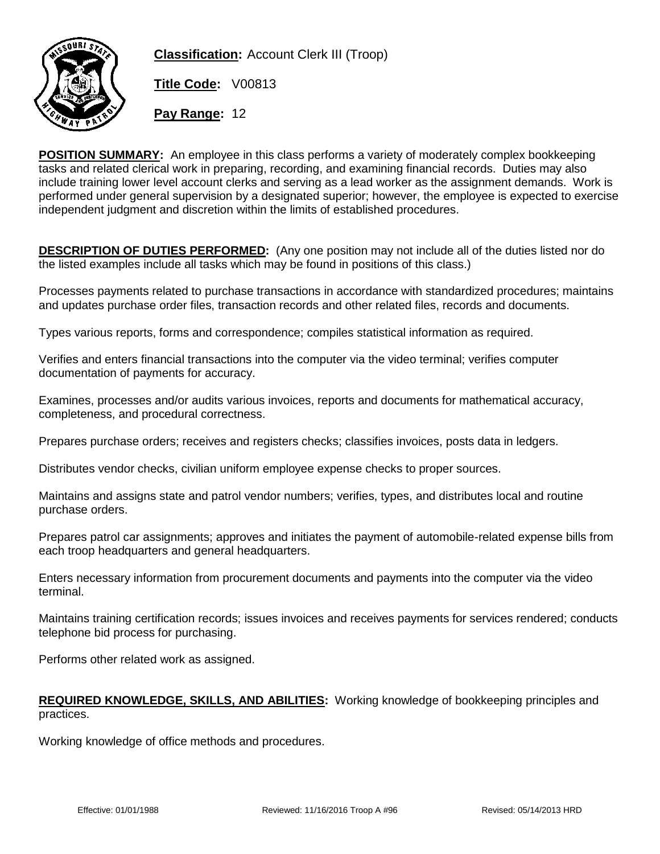

**Classification:** Account Clerk III (Troop)

**Title Code:** V00813

**Pay Range:** 12

**POSITION SUMMARY:** An employee in this class performs a variety of moderately complex bookkeeping tasks and related clerical work in preparing, recording, and examining financial records. Duties may also include training lower level account clerks and serving as a lead worker as the assignment demands. Work is performed under general supervision by a designated superior; however, the employee is expected to exercise independent judgment and discretion within the limits of established procedures.

**DESCRIPTION OF DUTIES PERFORMED:** (Any one position may not include all of the duties listed nor do the listed examples include all tasks which may be found in positions of this class.)

Processes payments related to purchase transactions in accordance with standardized procedures; maintains and updates purchase order files, transaction records and other related files, records and documents.

Types various reports, forms and correspondence; compiles statistical information as required.

Verifies and enters financial transactions into the computer via the video terminal; verifies computer documentation of payments for accuracy.

Examines, processes and/or audits various invoices, reports and documents for mathematical accuracy, completeness, and procedural correctness.

Prepares purchase orders; receives and registers checks; classifies invoices, posts data in ledgers.

Distributes vendor checks, civilian uniform employee expense checks to proper sources.

Maintains and assigns state and patrol vendor numbers; verifies, types, and distributes local and routine purchase orders.

Prepares patrol car assignments; approves and initiates the payment of automobile-related expense bills from each troop headquarters and general headquarters.

Enters necessary information from procurement documents and payments into the computer via the video terminal.

Maintains training certification records; issues invoices and receives payments for services rendered; conducts telephone bid process for purchasing.

Performs other related work as assigned.

## **REQUIRED KNOWLEDGE, SKILLS, AND ABILITIES:** Working knowledge of bookkeeping principles and practices.

Working knowledge of office methods and procedures.